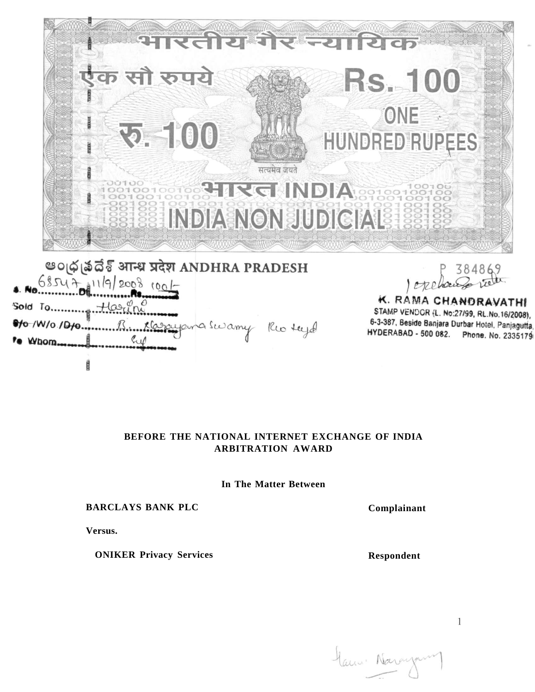

STAMP VENDOR (L. No:27/99, RL.No.16/2008), 6-3-387, Beside Banjara Durbar Hotel, Panjagutta, HYDERABAD - 500 082. Phone. No. 2335179

## **BEFORE THE NATIONAL INTERNET EXCHANGE OF INDIA ARBITRATION AWARD**

Casayana Swamy Rio tugo

**In The Matter Between** 

## **BARCLAYS BANK PLC**

**Versus.** 

eto /W/o /Dto...

**\*e** Whom...

**ONIKER Privacy Services** 

**Complainant** 

**Respondent** 

Manne Norangame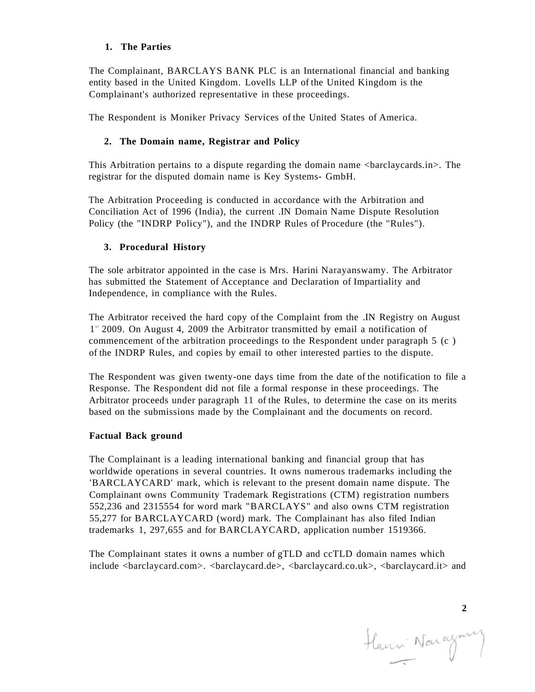## **1. The Parties**

The Complainant, BARCLAYS BANK PLC is an International financial and banking entity based in the United Kingdom. Lovells LLP of the United Kingdom is the Complainant's authorized representative in these proceedings.

The Respondent is Moniker Privacy Services of the United States of America.

# **2. The Domain name, Registrar and Policy**

This Arbitration pertains to a dispute regarding the domain name <br/>barclaycards.in>. The registrar for the disputed domain name is Key Systems- GmbH.

The Arbitration Proceeding is conducted in accordance with the Arbitration and Conciliation Act of 1996 (India), the current .IN Domain Name Dispute Resolution Policy (the "INDRP Policy"), and the INDRP Rules of Procedure (the "Rules").

## **3. Procedural History**

The sole arbitrator appointed in the case is Mrs. Harini Narayanswamy. The Arbitrator has submitted the Statement of Acceptance and Declaration of Impartiality and Independence, in compliance with the Rules.

The Arbitrator received the hard copy of the Complaint from the .IN Registry on August 1<sup>"</sup> 2009. On August 4, 2009 the Arbitrator transmitted by email a notification of commencement of the arbitration proceedings to the Respondent under paragraph 5 (c ) of the INDRP Rules, and copies by email to other interested parties to the dispute.

The Respondent was given twenty-one days time from the date of the notification to file a Response. The Respondent did not file a formal response in these proceedings. The Arbitrator proceeds under paragraph 11 of the Rules, to determine the case on its merits based on the submissions made by the Complainant and the documents on record.

## **Factual Back ground**

The Complainant is a leading international banking and financial group that has worldwide operations in several countries. It owns numerous trademarks including the 'BARCLAYCARD' mark, which is relevant to the present domain name dispute. The Complainant owns Community Trademark Registrations (CTM) registration numbers 552,236 and 2315554 for word mark "BARCLAYS" and also owns CTM registration 55,277 for BARCLAYCARD (word) mark. The Complainant has also filed Indian trademarks 1, 297,655 and for BARCLAYCARD, application number 1519366.

The Complainant states it owns a number of gTLD and ccTLD domain names which include <barclaycard.com>. <barclaycard.de>, <barclaycard.co.uk>, <barclaycard.it> and

2<br>Havri Narazny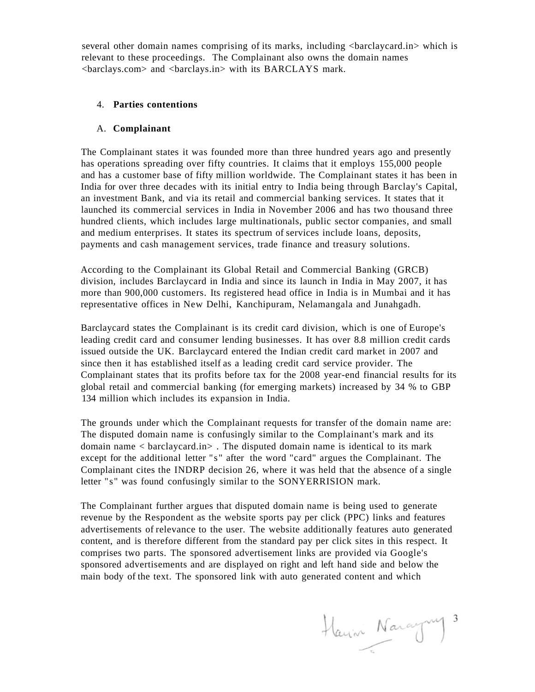several other domain names comprising of its marks, including  $\alpha$  -barclaycard.in which is relevant to these proceedings. The Complainant also owns the domain names <barclays.com> and <barclays.in> with its BARCLAYS mark.

## 4. **Parties contentions**

## A. **Complainant**

The Complainant states it was founded more than three hundred years ago and presently has operations spreading over fifty countries. It claims that it employs 155,000 people and has a customer base of fifty million worldwide. The Complainant states it has been in India for over three decades with its initial entry to India being through Barclay's Capital, an investment Bank, and via its retail and commercial banking services. It states that it launched its commercial services in India in November 2006 and has two thousand three hundred clients, which includes large multinationals, public sector companies, and small and medium enterprises. It states its spectrum of services include loans, deposits, payments and cash management services, trade finance and treasury solutions.

According to the Complainant its Global Retail and Commercial Banking (GRCB) division, includes Barclaycard in India and since its launch in India in May 2007, it has more than 900,000 customers. Its registered head office in India is in Mumbai and it has representative offices in New Delhi, Kanchipuram, Nelamangala and Junahgadh.

Barclaycard states the Complainant is its credit card division, which is one of Europe's leading credit card and consumer lending businesses. It has over 8.8 million credit cards issued outside the UK. Barclaycard entered the Indian credit card market in 2007 and since then it has established itself as a leading credit card service provider. The Complainant states that its profits before tax for the 2008 year-end financial results for its global retail and commercial banking (for emerging markets) increased by 34 % to GBP 134 million which includes its expansion in India.

The grounds under which the Complainant requests for transfer of the domain name are: The disputed domain name is confusingly similar to the Complainant's mark and its domain name < barclaycard.in> . The disputed domain name is identical to its mark except for the additional letter "s" after the word "card" argues the Complainant. The Complainant cites the INDRP decision 26, where it was held that the absence of a single letter "s" was found confusingly similar to the SONYERRISION mark.

The Complainant further argues that disputed domain name is being used to generate revenue by the Respondent as the website sports pay per click (PPC) links and features advertisements of relevance to the user. The website additionally features auto generated content, and is therefore different from the standard pay per click sites in this respect. It comprises two parts. The sponsored advertisement links are provided via Google's sponsored advertisements and are displayed on right and left hand side and below the main body of the text. The sponsored link with auto generated content and which

Harrin Naragny 3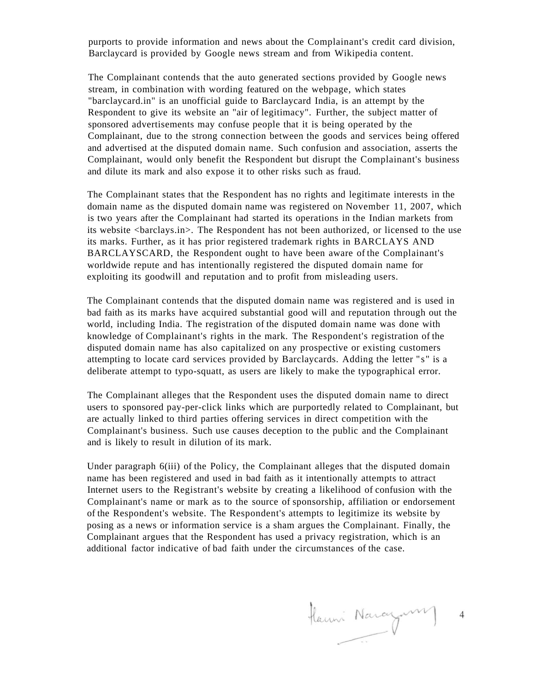purports to provide information and news about the Complainant's credit card division, Barclaycard is provided by Google news stream and from Wikipedia content.

The Complainant contends that the auto generated sections provided by Google news stream, in combination with wording featured on the webpage, which states "barclaycard.in" is an unofficial guide to Barclaycard India, is an attempt by the Respondent to give its website an "air of legitimacy". Further, the subject matter of sponsored advertisements may confuse people that it is being operated by the Complainant, due to the strong connection between the goods and services being offered and advertised at the disputed domain name. Such confusion and association, asserts the Complainant, would only benefit the Respondent but disrupt the Complainant's business and dilute its mark and also expose it to other risks such as fraud.

The Complainant states that the Respondent has no rights and legitimate interests in the domain name as the disputed domain name was registered on November 11, 2007, which is two years after the Complainant had started its operations in the Indian markets from its website <br/>barclays.in>. The Respondent has not been authorized, or licensed to the use its marks. Further, as it has prior registered trademark rights in BARCLAYS AND BARCLAYSCARD, the Respondent ought to have been aware of the Complainant's worldwide repute and has intentionally registered the disputed domain name for exploiting its goodwill and reputation and to profit from misleading users.

The Complainant contends that the disputed domain name was registered and is used in bad faith as its marks have acquired substantial good will and reputation through out the world, including India. The registration of the disputed domain name was done with knowledge of Complainant's rights in the mark. The Respondent's registration of the disputed domain name has also capitalized on any prospective or existing customers attempting to locate card services provided by Barclaycards. Adding the letter "s " is a deliberate attempt to typo-squatt, as users are likely to make the typographical error.

The Complainant alleges that the Respondent uses the disputed domain name to direct users to sponsored pay-per-click links which are purportedly related to Complainant, but are actually linked to third parties offering services in direct competition with the Complainant's business. Such use causes deception to the public and the Complainant and is likely to result in dilution of its mark.

Under paragraph 6(iii) of the Policy, the Complainant alleges that the disputed domain name has been registered and used in bad faith as it intentionally attempts to attract Internet users to the Registrant's website by creating a likelihood of confusion with the Complainant's name or mark as to the source of sponsorship, affiliation or endorsement of the Respondent's website. The Respondent's attempts to legitimize its website by posing as a news or information service is a sham argues the Complainant. Finally, the Complainant argues that the Respondent has used a privacy registration, which is an additional factor indicative of bad faith under the circumstances of the case.

Hanni Naragum  $\overline{4}$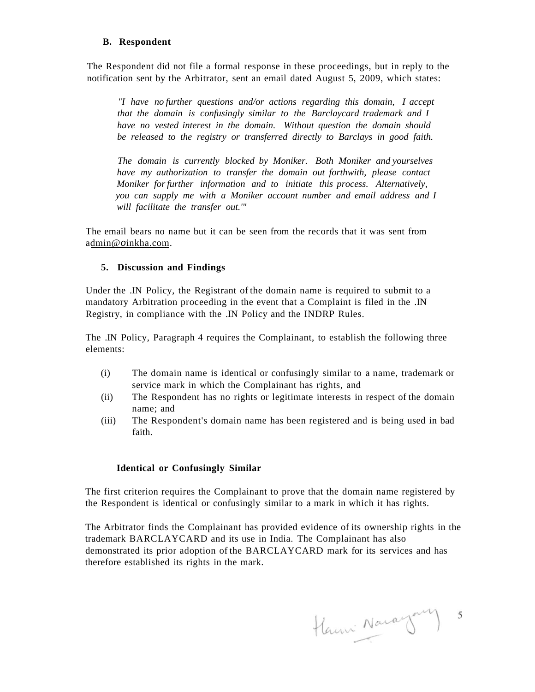#### **B. Respondent**

The Respondent did not file a formal response in these proceedings, but in reply to the notification sent by the Arbitrator, sent an email dated August 5, 2009, which states:

*"I have no further questions and/or actions regarding this domain, I accept that the domain is confusingly similar to the Barclaycard trademark and I have no vested interest in the domain. Without question the domain should be released to the registry or transferred directly to Barclays in good faith.* 

*The domain is currently blocked by Moniker. Both Moniker and yourselves have my authorization to transfer the domain out forthwith, please contact Moniker for further information and to initiate this process. Alternatively, you can supply me with a Moniker account number and email address and I will facilitate the transfer out.'"* 

The email bears no name but it can be seen from the records that it was sent from admin@o[inkha.com.](http://inkha.com)

## **5. Discussion and Findings**

Under the .IN Policy, the Registrant of the domain name is required to submit to a mandatory Arbitration proceeding in the event that a Complaint is filed in the .IN Registry, in compliance with the .IN Policy and the INDRP Rules.

The .IN Policy, Paragraph 4 requires the Complainant, to establish the following three elements:

- (i) The domain name is identical or confusingly similar to a name, trademark or service mark in which the Complainant has rights, and
- (ii) The Respondent has no rights or legitimate interests in respect of the domain name; and
- (iii) The Respondent's domain name has been registered and is being used in bad faith.

## **Identical or Confusingly Similar**

The first criterion requires the Complainant to prove that the domain name registered by the Respondent is identical or confusingly similar to a mark in which it has rights.

The Arbitrator finds the Complainant has provided evidence of its ownership rights in the trademark BARCLAYCARD and its use in India. The Complainant has also demonstrated its prior adoption of the BARCLAYCARD mark for its services and has therefore established its rights in the mark.

Hanni Navagary 5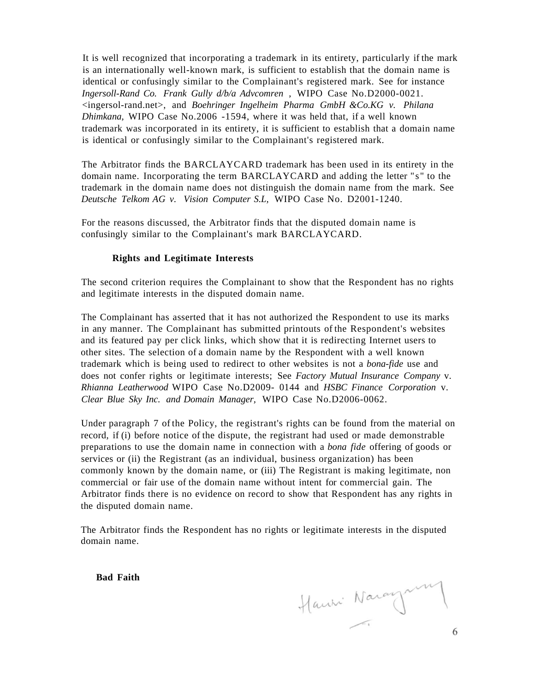It is well recognized that incorporating a trademark in its entirety, particularly if the mark is an internationally well-known mark, is sufficient to establish that the domain name is identical or confusingly similar to the Complainant's registered mark. See for instance *Ingersoll-Rand Co. Frank Gully d/b/a Advcomren* , WIPO Case No.D2000-0021. <ingersol-rand.net>, and *Boehringer Ingelheim Pharma GmbH &Co.KG v. Philana Dhimkana,* WIPO Case No.2006 -1594, where it was held that, if a well known trademark was incorporated in its entirety, it is sufficient to establish that a domain name is identical or confusingly similar to the Complainant's registered mark.

The Arbitrator finds the BARCLAYCARD trademark has been used in its entirety in the domain name. Incorporating the term BARCLAYCARD and adding the letter "s " to the trademark in the domain name does not distinguish the domain name from the mark. See *Deutsche Telkom AG v. Vision Computer S.L,* WIPO Case No. D2001-1240.

For the reasons discussed, the Arbitrator finds that the disputed domain name is confusingly similar to the Complainant's mark BARCLAYCARD.

#### **Rights and Legitimate Interests**

The second criterion requires the Complainant to show that the Respondent has no rights and legitimate interests in the disputed domain name.

The Complainant has asserted that it has not authorized the Respondent to use its marks in any manner. The Complainant has submitted printouts of the Respondent's websites and its featured pay per click links, which show that it is redirecting Internet users to other sites. The selection of a domain name by the Respondent with a well known trademark which is being used to redirect to other websites is not a *bona-fide* use and does not confer rights or legitimate interests; See *Factory Mutual Insurance Company* v. *Rhianna Leatherwood* WIPO Case No.D2009- 0144 and *HSBC Finance Corporation* v. *Clear Blue Sky Inc. and Domain Manager,* WIPO Case No.D2006-0062.

Under paragraph 7 of the Policy, the registrant's rights can be found from the material on record, if (i) before notice of the dispute, the registrant had used or made demonstrable preparations to use the domain name in connection with a *bona fide* offering of goods or services or (ii) the Registrant (as an individual, business organization) has been commonly known by the domain name, or (iii) The Registrant is making legitimate, non commercial or fair use of the domain name without intent for commercial gain. The Arbitrator finds there is no evidence on record to show that Respondent has any rights in the disputed domain name.

The Arbitrator finds the Respondent has no rights or legitimate interests in the disputed domain name.

**Bad Faith** 

Hanni Noraynin